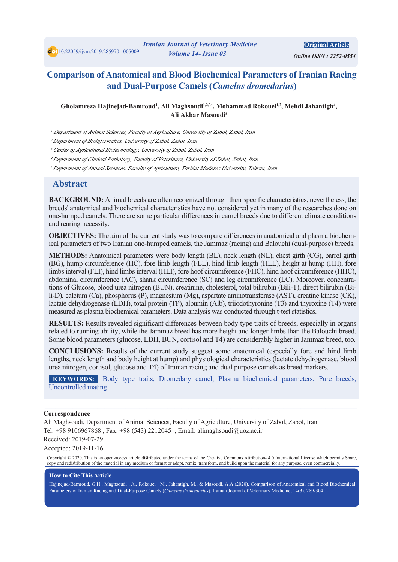doi 10.22059/ijvm.2019.285970.1005009

**Original Article** 

*<i> Online ISSN: 2252-0554* 

# **Comparison of Anatomical and Blood Biochemical Parameters of Iranian Racing (and Dual-Purpose Camels (Camelus dromedarius)**

#### Gholamreza Hajinejad-Bamroud<sup>1</sup>, Ali Maghsoudi<sup>1,2,3\*</sup>, Mohammad Rokouei<sup>1,2</sup>, Mehdi Jahantigh<sup>4</sup>, Ali Akhar Masoudi<sup>5</sup>

<sup>1</sup> Department of Animal Sciences, Faculty of Agriculture, University of Zabol, Zabol, Iran

<sup>2</sup> Department of Bioinformatics, University of Zabol, Zabol, Iran

<sup>3</sup> Center of Agricultural Biotechnology, University of Zabol, Zabol, Iran

<sup>4</sup> Department of Clinical Pathology, Faculty of Veterinary, University of Zabol, Zabol, Iran

<sup>5</sup> Department of Animal Sciences, Faculty of Agriculture, Tarbiat Modares University, Tehran, Iran

#### **Abstract**

**BACKGROUND:** Animal breeds are often recognized through their specific characteristics, nevertheless, the breeds' anatomical and biochemical characteristics have not considered yet in many of the researches done on one-humped camels. There are some particular differences in camel breeds due to different climate conditions and rearing necessity.

ical parameters of two Iranian one-humped camels, the Jammaz (racing) and Balouchi (dual-purpose) breeds. **OBJECTIVES:** The aim of the current study was to compare differences in anatomical and plasma biochem-

**METHODS:** Anatomical parameters were body length (BL), neck length (NL), chest girth (CG), barrel girth (BG), hump circumference (HC), fore limb length (FLL), hind limb length (HLL), height at hump (HH), fore limbs interval (FLI), hind limbs interval (HLI), fore hoof circumference (FHC), hind hoof circumference (HHC), li-D), calcium (Ca), phosphorus (P), magnesium (Mg), aspartate aminotransferase (AST), creatine kinase (CK), tions of Glucose, blood urea nitrogen (BUN), creatinine, cholesterol, total bilirubin (Bili-T), direct bilirubin (Biabdominal circumference (AC), shank circumference (SC) and leg circumference (LC). Moreover, concentralactate dehydrogenase (LDH), total protein (TP), albumin (Alb), triiodothyronine (T3) and thyroxine (T4) were measured as plasma biochemical parameters. Data analysis was conducted through t-test statistics.

**RESULTS:** Results revealed significant differences between body type traits of breeds, especially in organs related to running ability, while the Jammaz breed has more height and longer limbs than the Balouchi breed. Some blood parameters (glucose, LDH, BUN, cortisol and T4) are considerably higher in Jammaz breed, too.

**CONCLUSIONS:** Results of the current study suggest some anatomical (especially fore and hind limb lengths, neck length and body height at hump) and physiological characteristics (lactate dehydrogenase, blood urea nitrogen, cortisol, glucose and T4) of Iranian racing and dual purpose camels as breed markers.

**KEYWORDS:** Body type traits, Dromedary camel, Plasma biochemical parameters, Pure breeds, Uncontrolled mating

 $\mathcal{L}_\mathcal{L} = \mathcal{L}_\mathcal{L} = \mathcal{L}_\mathcal{L} = \mathcal{L}_\mathcal{L} = \mathcal{L}_\mathcal{L} = \mathcal{L}_\mathcal{L} = \mathcal{L}_\mathcal{L} = \mathcal{L}_\mathcal{L} = \mathcal{L}_\mathcal{L} = \mathcal{L}_\mathcal{L} = \mathcal{L}_\mathcal{L} = \mathcal{L}_\mathcal{L} = \mathcal{L}_\mathcal{L} = \mathcal{L}_\mathcal{L} = \mathcal{L}_\mathcal{L} = \mathcal{L}_\mathcal{L} = \mathcal{L}_\mathcal{L}$ 

#### **Correspondence**

Ali Maghsoudi, Department of Animal Sciences, Faculty of Agriculture, University of Zabol, Zabol, Iran Tel: +98 9106967868, Fax: +98 (543) 2212045, Email: alimaghsoudi@uoz.ac.ir

Received: 2019-07-29

Accepted: 2019-11-16

Copyright  $@$  2020. This is an open-access article distributed under the terms of the Creative Commons Attribution-4.0 International License which permits Share, copy and redistribution of the material in any medium or format or adapt, remix, transform, and build upon the material for any purpose, even commercially.

#### **How to Cite This Article**

Hajinejad-Bamroud, G.H., Maghsoudi , A., Rokouei , M., Jahantigh, M., & Masoudi, A.A (2020). Comparison of Anatomical and Blood Biochemical Parameters of Iranian Racing and Dual-Purpose Camels (Camelus dromedarius). Iranian Journal of Veterinary Medicine, 14(3), 289-304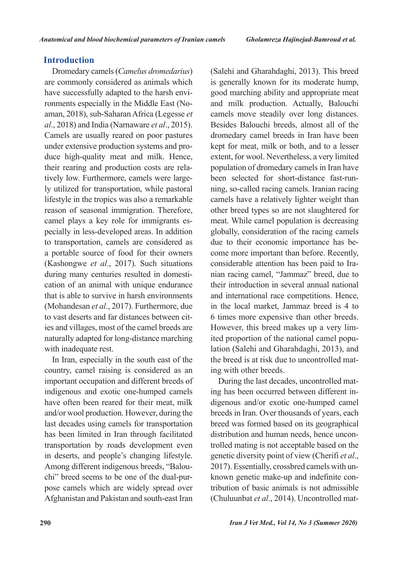## **Introduction**

Dromedary camels (*Camelus dromedarius*) are commonly considered as animals which aman, 2018), sub-Saharan Africa (Legesse et ronments especially in the Middle East (Nohave successfully adapted to the harsh envi*al.*, 2018) and India (Narnaware *et al.*, 2015). Camels are usually reared on poor pastures duce high-quality meat and milk. Hence, under extensive production systems and proly utilized for transportation, while pastoral tively low. Furthermore, camels were largetheir rearing and production costs are relalifestyle in the tropics was also a remarkable reason of seasonal immigration. Therefore, pecially in less-developed areas. In addition camel plays a key role for immigrants esto transportation, camels are considered as a portable source of food for their owners (Kashongwe et al., 2017). Such situations cation of an animal with unique endurance during many centuries resulted in domestithat is able to survive in harsh environments (Mohandesan et al., 2017). Furthermore, due ies and villages, most of the camel breeds are to vast deserts and far distances between citnaturally adapted for long-distance marching with inadequate rest.

In Iran, especially in the south east of the country, camel raising is considered as an important occupation and different breeds of indigenous and exotic one-humped camels have often been reared for their meat, milk and/or wool production. However, during the last decades using camels for transportation has been limited in Iran through facilitated transportation by roads development even in deserts, and people's changing lifestyle. pose camels which are widely spread over chi" breed seems to be one of the dual-pur-Among different indigenous breeds, "Balou-Afghanistan and Pakistan and south-east Iran

(Salehi and Gharahdaghi, 2013). This breed is generally known for its moderate hump, good marching ability and appropriate meat and milk production. Actually, Balouchi camels move steadily over long distances. Besides Balouchi breeds, almost all of the dromedary camel breeds in Iran have been kept for meat, milk or both, and to a lesser extent, for wool. Nevertheless, a very limited population of dromedary camels in Iran have ning, so-called racing camels. Iranian racing been selected for short-distance fast-runcamels have a relatively lighter weight than other breed types so are not slaughtered for meat. While camel population is decreasing globally, consideration of the racing camels come more important than before. Recently, due to their economic importance has benian racing camel, "Jammaz" breed, due to considerable attention has been paid to Iratheir introduction in several annual national and international race competitions. Hence, in the local market, Jammaz breed is 4 to 6 times more expensive than other breeds. lation (Salehi and Gharahdaghi, 2013), and ited proportion of the national camel popu-However, this breed makes up a very limthe breed is at risk due to uncontrolled mating with other breeds.

digenous and/or exotic one-humped camel ing has been occurred between different in-During the last decades, uncontrolled matbreeds in Iran. Over thousands of years, each breed was formed based on its geographical trolled mating is not acceptable based on the distribution and human needs, hence uncongenetic diversity point of view (Cherifi et al., tribution of basic animals is not admissible known genetic make-up and indefinite con-2017). Essentially, crossbred camels with un-(Chuluunbat et al., 2014). Uncontrolled mat-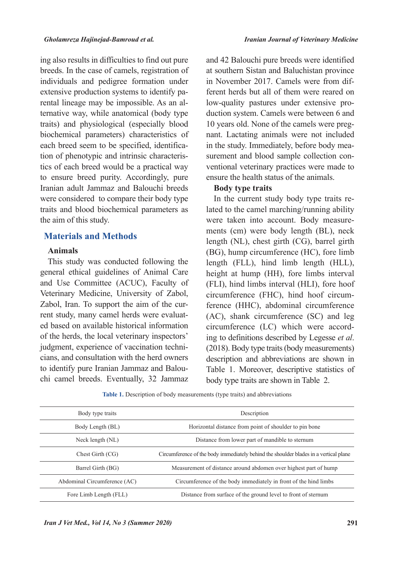ing also results in difficulties to find out pure breeds. In the case of camels, registration of individuals and pedigree formation under ternative way, while anatomical (body type) rental lineage may be impossible. As an alextensive production systems to identify patraits) and physiological (especially blood biochemical parameters) characteristics of tics of each breed would be a practical way tion of phenotypic and intrinsic characteriseach breed seem to be specified, identificato ensure breed purity. Accordingly, pure Iranian adult Jammaz and Balouchi breeds were considered to compare their body type traits and blood biochemical parameters as the aim of this study.

#### **Materials and Methods**

#### **Animals**

This study was conducted following the general ethical guidelines of Animal Care and Use Committee (ACUC), Faculty of Veterinary Medicine, University of Zabol, ed based on available historical information rent study, many camel herds were evaluat-Zabol, Iran. To support the aim of the curof the herds, the local veterinary inspectors' cians, and consultation with the herd owners judgment, experience of vaccination technichi camel breeds. Eventually, 32 Jammaz to identify pure Iranian Jammaz and Balouand 42 Balouchi pure breeds were identified at southern Sistan and Baluchistan province ferent herds but all of them were reared on in November 2017. Camels were from difduction system. Camels were between 6 and low-quality pastures under extensive pronant. Lactating animals were not included 10 years old. None of the camels were pregventional veterinary practices were made to surement and blood sample collection conin the study. Immediately, before body meaensure the health status of the animals.

#### **Body** type traits

lated to the camel marching/running ability In the current study body type traits rements (cm) were body length (BL), neck were taken into account. Body measurelength (NL), chest girth (CG), barrel girth  $(BG)$ , hump circumference  $(HC)$ , fore limb length (FLL), hind limb length (HLL), height at hump (HH), fore limbs interval (FLI), hind limbs interval (HLI), fore hoof ference (HHC), abdominal circumference circumference (FHC), hind hoof circum- $(AC)$ , shank circumference  $(SC)$  and leg ing to definitions described by Legesse et al. circumference (LC) which were accord- $(2018)$ . Body type traits (body measurements) description and abbreviations are shown in Table 1. Moreover, descriptive statistics of body type traits are shown in Table 2.

Table 1. Description of body measurements (type traits) and abbreviations

| Body type traits             | Description                                                                          |
|------------------------------|--------------------------------------------------------------------------------------|
| Body Length (BL)             | Horizontal distance from point of shoulder to pin bone                               |
| Neck length (NL)             | Distance from lower part of mandible to sternum                                      |
| Chest Girth (CG)             | Circumference of the body immediately behind the shoulder blades in a vertical plane |
| Barrel Girth (BG)            | Measurement of distance around abdomen over highest part of hump                     |
| Abdominal Circumference (AC) | Circumference of the body immediately in front of the hind limbs                     |
| Fore Limb Length (FLL)       | Distance from surface of the ground level to front of sternum                        |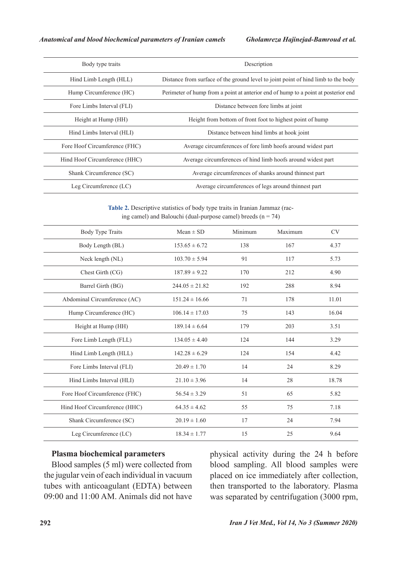| Body type traits              | Description                                                                        |
|-------------------------------|------------------------------------------------------------------------------------|
| Hind Limb Length (HLL)        | Distance from surface of the ground level to joint point of hind limb to the body  |
| Hump Circumference (HC)       | Perimeter of hump from a point at anterior end of hump to a point at posterior end |
| Fore Limbs Interval (FLI)     | Distance between fore limbs at joint                                               |
| Height at Hump (HH)           | Height from bottom of front foot to highest point of hump                          |
| Hind Limbs Interval (HLI)     | Distance between hind limbs at hook joint                                          |
| Fore Hoof Circumference (FHC) | Average circumferences of fore limb hoofs around widest part                       |
| Hind Hoof Circumference (HHC) | Average circumferences of hind limb hoofs around widest part                       |
| Shank Circumference (SC)      | Average circumferences of shanks around thinnest part                              |
| Leg Circumference (LC)        | Average circumferences of legs around thinnest part                                |

ing camel) and Balouchi (dual-purpose camel) breeds  $(n = 74)$ Table 2. Descriptive statistics of body type traits in Iranian Jammaz (rac-

| <b>Body Type Traits</b>       | $Mean \pm SD$      | Minimum | Maximum | <b>CV</b> |
|-------------------------------|--------------------|---------|---------|-----------|
| Body Length (BL)              | $153.65 \pm 6.72$  | 138     | 167     | 4.37      |
| Neck length (NL)              | $103.70 \pm 5.94$  | 91      | 117     | 5.73      |
| Chest Girth (CG)              | $187.89 \pm 9.22$  | 170     | 212     | 4.90      |
| Barrel Girth (BG)             | $244.05 \pm 21.82$ | 192     | 288     | 8.94      |
| Abdominal Circumference (AC)  | $151.24 \pm 16.66$ | 71      | 178     | 11.01     |
| Hump Circumference (HC)       | $106.14 \pm 17.03$ | 75      | 143     | 16.04     |
| Height at Hump (HH)           | $189.14 \pm 6.64$  | 179     | 203     | 3.51      |
| Fore Limb Length (FLL)        | $134.05 \pm 4.40$  | 124     | 144     | 3.29      |
| Hind Limb Length (HLL)        | $142.28 \pm 6.29$  | 124     | 154     | 4.42      |
| Fore Limbs Interval (FLI)     | $20.49 \pm 1.70$   | 14      | 24      | 8.29      |
| Hind Limbs Interval (HLI)     | $21.10 \pm 3.96$   | 14      | 28      | 18.78     |
| Fore Hoof Circumference (FHC) | $56.54 \pm 3.29$   | 51      | 65      | 5.82      |
| Hind Hoof Circumference (HHC) | $64.35 \pm 4.62$   | 55      | 75      | 7.18      |
| Shank Circumference (SC)      | $20.19 \pm 1.60$   | 17      | 24      | 7.94      |
| Leg Circumference (LC)        | $18.34 \pm 1.77$   | 15      | 25      | 9.64      |

### **Plasma** biochemical parameters

Blood samples (5 ml) were collected from the jugular vein of each individual in vacuum tubes with anticoagulant (EDTA) between 09:00 and 11:00 AM. Animals did not have

physical activity during the 24 h before blood sampling. All blood samples were placed on ice immediately after collection, then transported to the laboratory. Plasma was separated by centrifugation (3000 rpm,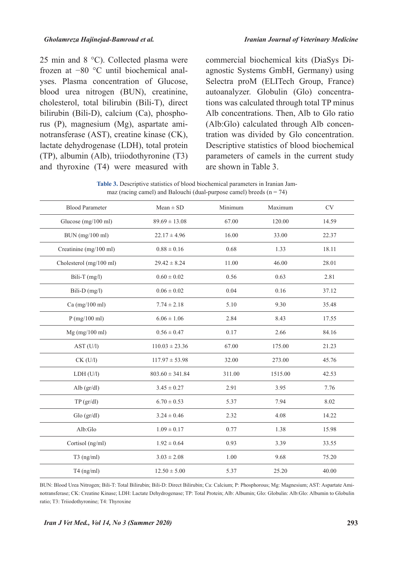25 min and 8  $^{\circ}$ C). Collected plasma were yses. Plasma concentration of Glucose, frozen at  $-80$  °C until biochemical analblood urea nitrogen (BUN), creatinine, cholesterol, total bilirubin (Bili-T), direct notransferase (AST), creatine kinase (CK), rus  $(P)$ , magnesium  $(Mg)$ , aspartate amibilirubin (Bili-D), calcium  $(Ca)$ , phospholactate dehydrogenase (LDH), total protein  $(TP)$ , albumin (Alb), triiodothyronine  $(T3)$ and thyroxine  $(T4)$  were measured with agnostic Systems GmbH, Germany) using commercial biochemical kits (DiaSys Di-Selectra proM (ELITech Group, France) tions was calculated through total TP minus autoanalyzer. Globulin (Glo) concentra-Alb concentrations. Then, Alb to Glo ratio tration was divided by Glo concentration.  $(Alb:Glo)$  calculated through Alb concen-Descriptive statistics of blood biochemical parameters of camels in the current study are shown in Table 3.

|  | <b>Table 3.</b> Descriptive statistics of blood biochemical parameters in Iranian Jam- |  |  |
|--|----------------------------------------------------------------------------------------|--|--|
|  | maz (racing camel) and Balouchi (dual-purpose camel) breeds $(n = 74)$                 |  |  |

| <b>Blood Parameter</b>  | $Mean \pm SD$       | Minimum | Maximum | <b>CV</b> |  |
|-------------------------|---------------------|---------|---------|-----------|--|
| Glucose (mg/100 ml)     | $89.69 \pm 13.08$   | 67.00   | 120.00  | 14.59     |  |
| BUN (mg/100 ml)         | $22.17 \pm 4.96$    | 16.00   | 33.00   | 22.37     |  |
| Creatinine (mg/100 ml)  | $0.88 \pm 0.16$     | 0.68    | 1.33    | 18.11     |  |
| Cholesterol (mg/100 ml) | $29.42 \pm 8.24$    | 11.00   | 46.00   | 28.01     |  |
| Bili-T (mg/l)           | $0.60 \pm 0.02$     | 0.56    | 0.63    | 2.81      |  |
| Bili-D $(mg/l)$         | $0.06 \pm 0.02$     | 0.04    | 0.16    | 37.12     |  |
| Ca (mg/100 ml)          | $7.74 \pm 2.18$     | 5.10    | 9.30    | 35.48     |  |
| P(mg/100 ml)            | $6.06 \pm 1.06$     | 2.84    | 8.43    | 17.55     |  |
| $Mg$ (mg/100 ml)        | $0.56 \pm 0.47$     | 0.17    | 2.66    | 84.16     |  |
| AST (U/l)               | $110.03 \pm 23.36$  | 67.00   | 175.00  | 21.23     |  |
| $CK$ (U/l)              | $117.97 \pm 53.98$  | 32.00   | 273.00  | 45.76     |  |
| LDH (U/l)               | $803.60 \pm 341.84$ | 311.00  | 1515.00 | 42.53     |  |
| Alb $(gr/dl)$           | $3.45 \pm 0.27$     | 2.91    | 3.95    | 7.76      |  |
| TP (gr/dl)              | $6.70 \pm 0.53$     | 5.37    | 7.94    | 8.02      |  |
| Glo(gr/dl)              | $3.24 \pm 0.46$     | 2.32    | 4.08    | 14.22     |  |
| Alb:Glo                 | $1.09 \pm 0.17$     | 0.77    | 1.38    | 15.98     |  |
| Cortisol (ng/ml)        | $1.92 \pm 0.64$     | 0.93    | 3.39    | 33.55     |  |
| $T3$ (ng/ml)            | $3.03 \pm 2.08$     | 1.00    | 9.68    | 75.20     |  |
| $T4$ (ng/ml)            | $12.50 \pm 5.00$    | 5.37    | 25.20   | 40.00     |  |
|                         |                     |         |         |           |  |

notransferase; CK: Creatine Kinase; LDH: Lactate Dehydrogenase; TP: Total Protein; Alb: Albumin; Glo: Globulin: Alb:Glo: Albumin to Globulin BUN: Blood Urea Nitrogen; Bili-T: Total Bilirubin; Bili-D: Direct Bilirubin; Ca: Calcium; P: Phosphorous; Mg: Magnesium; AST: Aspartate Amiratio; T3: Triiodothyronine; T4: Thyroxine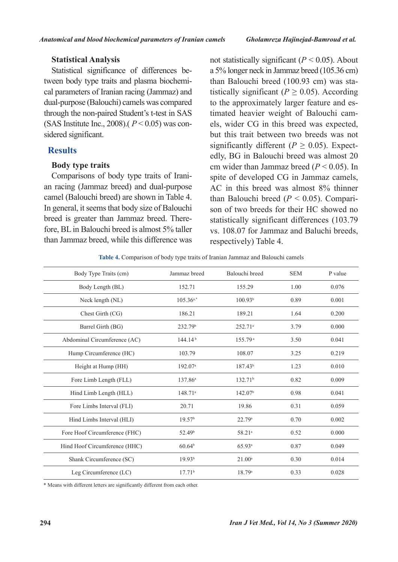### **Analysis Statistical**

cal parameters of Iranian racing (Jammaz) and tween body type traits and plasma biochemi-Statistical significance of differences bedual-purpose (Balouchi) camels was compared through the non-paired Student's t-test in SAS (SAS Institute Inc., 2008).( $P < 0.05$ ) was considered significant.

### **Results**

### **Body** type traits

an racing (Jammaz breed) and dual-purpose Comparisons of body type traits of Iranicamel (Balouchi breed) are shown in Table 4. In general, it seems that body size of Balouchi fore, BL in Balouchi breed is almost 5% taller breed is greater than Jammaz breed. Therethan Jammaz breed, while this difference was not statistically significant  $(P < 0.05)$ . About a 5% longer neck in Jammaz breed  $(105.36 \text{ cm})$ tistically significant  $(P > 0.05)$ . According than Balouchi breed  $(100.93 \text{ cm})$  was staels, wider CG in this breed was expected, timated heavier weight of Balouchi camto the approximately larger feature and esbut this trait between two breeds was not edly, BG in Balouchi breed was almost 20 significantly different  $(P > 0.05)$ . Expectcm wider than Jammaz breed  $(P < 0.05)$ . In spite of developed CG in Jammaz camels, AC in this breed was almost  $8\%$  thinner than Balouchi breed  $(P < 0.05)$ . Comparison of two breeds for their HC showed no statistically significant differences (103.79) vs. 108.07 for Jammaz and Baluchi breeds, respectively) Table 4.

Table 4. Comparison of body type traits of Iranian Jammaz and Balouchi camels

| Body Type Traits (cm)         | Jammaz breed        | Balouchi breed      | <b>SEM</b> | P value |
|-------------------------------|---------------------|---------------------|------------|---------|
| Body Length (BL)              | 152.71              | 155.29              | 1.00       | 0.076   |
| Neck length (NL)              | $105.36^{a,*}$      | 100.93 <sup>b</sup> | 0.89       | 0.001   |
| Chest Girth (CG)              | 186.21              | 189.21              | 1.64       | 0.200   |
| Barrel Girth (BG)             | 232.79 <sup>b</sup> | 252.71 <sup>a</sup> | 3.79       | 0.000   |
| Abdominal Circumference (AC)  | 144.14 <sup>b</sup> | 155.79 <sup>a</sup> | 3.50       | 0.041   |
| Hump Circumference (HC)       | 103.79              | 108.07              | 3.25       | 0.219   |
| Height at Hump (HH)           | 192.07 <sup>a</sup> | $187.43^{b}$        | 1.23       | 0.010   |
| Fore Limb Length (FLL)        | $137.86^{\circ}$    | 132.71 <sup>b</sup> | 0.82       | 0.009   |
| Hind Limb Length (HLL)        | $148.71^{\circ}$    | 142.07 <sup>b</sup> | 0.98       | 0.041   |
| Fore Limbs Interval (FLI)     | 20.71               | 19.86               | 0.31       | 0.059   |
| Hind Limbs Interval (HLI)     | 19.57 <sup>b</sup>  | 22.79a              | 0.70       | 0.002   |
| Fore Hoof Circumference (FHC) | 52.49 <sup>b</sup>  | 58.21 <sup>a</sup>  | 0.52       | 0.000   |
| Hind Hoof Circumference (HHC) | $60.64^{\rm b}$     | 65.93a              | 0.87       | 0.049   |
| Shank Circumference (SC)      | 19.93 <sup>b</sup>  | $21.00^a$           | 0.30       | 0.014   |
| Leg Circumference (LC)        | 17.71 <sup>b</sup>  | 18.79a              | 0.33       | 0.028   |

\* Means with different letters are significantly different from each other.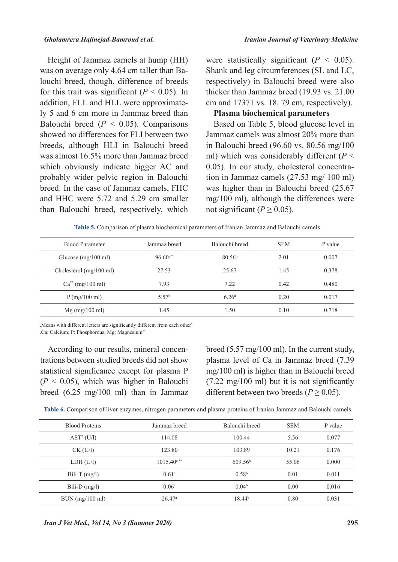Height of Jammaz camels at hump (HH) louchi breed, though, difference of breeds was on average only 4.64 cm taller than Bafor this trait was significant  $(P < 0.05)$ . In ly 5 and 6 cm more in Jammaz breed than addition, FLL and HLL were approximate-Balouchi breed  $(P < 0.05)$ . Comparisons showed no differences for FLI between two breeds, although HLI in Balouchi breed was almost 16.5% more than Jammaz breed which obviously indicate bigger AC and probably wider pelvic region in Balouchi breed. In the case of Jammaz camels, FHC and HHC were  $5.72$  and  $5.29$  cm smaller than Balouchi breed, respectively, which were statistically significant  $(P < 0.05)$ . Shank and leg circumferences (SL and LC, respectively) in Balouchi breed were also thicker than Jammaz breed  $(19.93 \text{ vs. } 21.00)$ cm and  $17371$  vs. 18. 79 cm, respectively).

### **Plasma biochemical parameters**

Based on Table 5, blood glucose level in Jammaz camels was almost 20% more than in Balouchi breed  $(96.60 \text{ vs. } 80.56 \text{ mg}/100)$ ml) which was considerably different  $(P <$ tion in Jammaz camels  $(27.53 \text{ mg}/100 \text{ ml})$ 0.05). In our study, cholesterol concentrawas higher than in Balouchi breed  $(25.67)$  $mg/100$  ml), although the differences were not significant ( $P \ge 0.05$ ).

Table 5. Comparison of plasma biochemical parameters of Iranian Jammaz and Balouchi camels

| <b>Blood Parameter</b>            | Jammaz breed      | Balouchi breed     | <b>SEM</b> | P value |
|-----------------------------------|-------------------|--------------------|------------|---------|
| Glucose $(mg/100 \text{ ml})$     | $96.60^{a,*}$     | 80.56 <sup>b</sup> | 2.01       | 0.007   |
| Cholesterol $(mg/100 \text{ ml})$ | 27.53             | 25.67              | 1.45       | 0.378   |
| $Ca^{**}$ (mg/100 ml)             | 7.93              | 7.22               | 0.42       | 0.480   |
| P(mg/100 ml)                      | 5.57 <sup>b</sup> | 6.26 <sup>a</sup>  | 0.20       | 0.017   |
| $Mg$ (mg/100 ml)                  | 1.45              | 1.50               | 0.10       | 0.718   |

. Means with different letters are significantly different from each other .Ca: Calcium; P: Phosphorous; Mg: Magnesium\*\*

trations between studied breeds did not show According to our results, mineral concenstatistical significance except for plasma P  $(P < 0.05)$ , which was higher in Balouchi breed  $(6.25 \text{ mg}/100 \text{ ml})$  than in Jammaz breed  $(5.57 \text{ mg}/100 \text{ ml})$ . In the current study, plasma level of Ca in Jammaz breed (7.39)  $mg/100$  ml) is higher than in Balouchi breed  $(7.22 \text{ mg}/100 \text{ ml})$  but it is not significantly different between two breeds ( $P \ge 0.05$ ).

|  | Table 6. Comparison of liver enzymes, nitrogen parameters and plasma proteins of Iranian Jammaz and Balouchi camels |
|--|---------------------------------------------------------------------------------------------------------------------|
|--|---------------------------------------------------------------------------------------------------------------------|

| <b>Blood Proteins</b> | Jammaz breed              | Balouchi breed      | <b>SEM</b> | P value |
|-----------------------|---------------------------|---------------------|------------|---------|
| $AST^*(U/I)$          | 114.08                    | 100.44              | 5.56       | 0.077   |
| $CK$ (U/l)            | 123.80                    | 103.89              | 10.21      | 0.176   |
| LDH (U/l)             | $1015.40$ <sup>a,**</sup> | 609.56 <sup>b</sup> | 55.06      | 0.000   |
| Bili-T $(mg/l)$       | 0.61 <sup>a</sup>         | 0.58 <sup>b</sup>   | 0.01       | 0.011   |
| Bili-D $(mg/l)$       | 0.06 <sup>a</sup>         | 0.04 <sup>b</sup>   | 0.00       | 0.016   |
| $BUN$ (mg/100 ml)     | $26.47^{\circ}$           | 18.44 <sup>b</sup>  | 0.80       | 0.031   |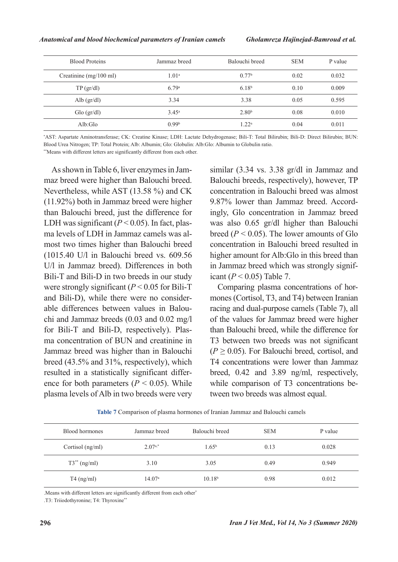| <b>Blood Proteins</b>            | Jammaz breed      | Balouchi breed    | <b>SEM</b> | P value |
|----------------------------------|-------------------|-------------------|------------|---------|
| Creatinine $(mg/100 \text{ ml})$ | $1.01^{\rm a}$    | 0.77 <sup>b</sup> | 0.02       | 0.032   |
| $TP\left(\frac{gr}{dl}\right)$   | 6.79a             | 6.18 <sup>b</sup> | 0.10       | 0.009   |
| Alb $\frac{gr}{dl}$              | 3.34              | 3.38              | 0.05       | 0.595   |
| Glo (gr/dl)                      | $3.45^{\rm a}$    | 2.80 <sup>b</sup> | 0.08       | 0.010   |
| Alb:Glo                          | 0.99 <sup>b</sup> | 1.22 <sup>a</sup> | 0.04       | 0.011   |

\*AST: Aspartate Aminotransferase; CK: Creatine Kinase; LDH: Lactate Dehydrogenase; Bili-T: Total Bilirubin; Bili-D: Direct Bilirubin; BUN: Blood Urea Nitrogen: TP: Total Protein: Alb: Albumin: Glo: Globulin: Alb: Glo: Albumin to Globulin ratio.

\*\*Means with different letters are significantly different from each other.

maz breed were higher than Balouchi breed. As shown in Table 6, liver enzymes in Jam-Nevertheless, while AST  $(13.58\%)$  and CK  $(11.92\%)$  both in Jammaz breed were higher than Balouchi breed, just the difference for most two times higher than Balouchi breed ma levels of LDH in Jammaz camels was al-LDH was significant  $(P < 0.05)$ . In fact, plas- $(1015.40 \text{ U/l} \text{ in Balouchi breed vs. } 609.56)$ U/l in Jammaz breed). Differences in both Bili-T and Bili-D in two breeds in our study were strongly significant  $(P < 0.05$  for Bili-T chi and Jammaz breeds  $(0.03$  and  $0.02$  mg/l able differences between values in Balouand Bili-D), while there were no considerfor Bili-T and Bili-D, respectively). Plas-<br>ma-concentration of BUN and creatinine in Jammaz breed was higher than in Balouchi breed  $(43.5\%$  and  $31\%$ , respectively), which ence for both parameters  $(P < 0.05)$ . While resulted in a statistically significant differplasma levels of Alb in two breeds were very

similar  $(3.34 \text{ vs. } 3.38 \text{ gr/dl in Jammaz and }$ Balouchi breeds, respectively), however, TP concentration in Balouchi breed was almost ingly, Glo concentration in Jammaz breed 9.87% lower than Jammaz breed. Accordwas also  $0.65$  gr/dl higher than Balouchi breed  $(P < 0.05)$ . The lower amounts of Glo concentration in Balouchi breed resulted in higher amount for Alb:Glo in this breed than in Jammaz breed which was strongly significant  $(P < 0.05)$  Table 7.

mones (Cortisol, T3, and T4) between Iranian Comparing plasma concentrations of horracing and dual-purpose camels (Table 7), all of the values for Jammaz breed were higher than Balouchi breed, while the difference for T3 between two breeds was not significant  $(P > 0.05)$ . For Balouchi breed, cortisol, and T4 concentrations were lower than Jammaz breed,  $0.42$  and  $3.89$  ng/ml, respectively, while comparison of T3 concentrations be-<br>tween two breeds was almost equal.

Table 7 Comparison of plasma hormones of Iranian Jammaz and Balouchi camels

| Blood hormones    | Jammaz breed    | Balouchi breed     | <b>SEM</b> | P value |
|-------------------|-----------------|--------------------|------------|---------|
| Cortisol (ng/ml)  | $2.07^{a,*}$    | $1.65^{\rm b}$     | 0.13       | 0.028   |
| $T3^{**}$ (ng/ml) | 3.10            | 3.05               | 0.49       | 0.949   |
| $T4$ (ng/ml)      | $14.07^{\circ}$ | 10.18 <sup>b</sup> | 0.98       | 0.012   |

. Means with different letters are significantly different from each other<sup>\*</sup>

T3: Triiodothyronine; T4: Thyroxine\*\*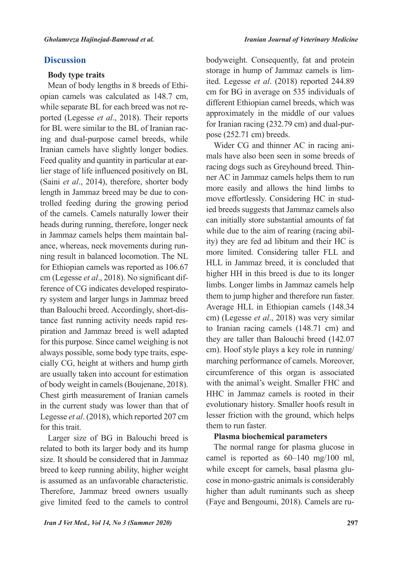### **Discussion**

#### **Body** type traits

opian camels was calculated as 148.7 cm, Mean of body lengths in 8 breeds of Ethiported (Legesse *et al.*, 2018). Their reports while separate BL for each breed was not reing and dual-purpose camel breeds, while for BL were similar to the BL of Iranian rac-Iranian camels have slightly longer bodies. lier stage of life influenced positively on BL Feed quality and quantity in particular at ear-(Saini et al., 2014), therefore, shorter body trolled feeding during the growing period length in Jammaz breed may be due to conof the camels. Camels naturally lower their heads during running, therefore, longer neck ning result in balanced locomotion. The NL ance, whereas, neck movements during runin Jammaz camels helps them maintain balfor Ethiopian camels was reported as  $106.67$ ry system and larger lungs in Jammaz breed ference of CG indicates developed respiratocm (Legesse *et al.*, 2018). No significant difpiration and Jammaz breed is well adapted tance fast running activity needs rapid resthan Balouchi breed. Accordingly, short-disfor this purpose. Since camel weighing is not cially CG, height at withers and hump girth always possible, some body type traits, espeare usually taken into account for estimation of body weight in camels (Boujenane, 2018). Chest girth measurement of Iranian camels in the current study was lower than that of Legesse et al. (2018), which reported 207 cm for this trait.

Larger size of BG in Balouchi breed is related to both its larger body and its hump size. It should be considered that in Jammaz breed to keep running ability, higher weight is assumed as an unfavorable characteristic. Therefore, Jammaz breed owners usually give limited feed to the camels to control bodyweight. Consequently, fat and protein ited. Legesse *et al.* (2018) reported 244.89 storage in hump of Jammaz camels is limcm for BG in average on 535 individuals of different Ethiopian camel breeds, which was approximately in the middle of our values for Iranian racing (232.79 cm) and dual-pur-<br>pose (252.71 cm) breeds.

mals have also been seen in some breeds of Wider CG and thinner AC in racing aniner AC in Jammaz camels helps them to run racing dogs such as Greyhound breed. Thinmore easily and allows the hind limbs to ied breeds suggests that Jammaz camels also move effortlessly. Considering HC in studcan initially store substantial amounts of fat ity) they are fed ad libitum and their HC is while due to the aim of rearing (racing abilmore limited. Considering taller FLL and HLL in Jammaz breed, it is concluded that higher HH in this breed is due to its longer limbs. Longer limbs in Jammaz camels help them to jump higher and therefore run faster. Average HLL in Ethiopian camels (148.34) cm) (Legesse et al., 2018) was very similar to Iranian racing camels  $(148.71 \text{ cm})$  and they are taller than Balouchi breed (142.07) cm). Hoof style plays a key role in running/ marching performance of camels. Moreover, circumference of this organ is associated with the animal's weight. Smaller FHC and HHC in Jammaz camels is rooted in their evolutionary history. Smaller hoofs result in lesser friction with the ground, which helps them to run faster.

#### **Plasma biochemical parameters**

The normal range for plasma glucose in camel is reported as  $60-140$  mg/100 ml, cose in mono-gastric animals is considerably while except for camels, basal plasma gluhigher than adult ruminants such as sheep (Faye and Bengoumi, 2018). Camels are ru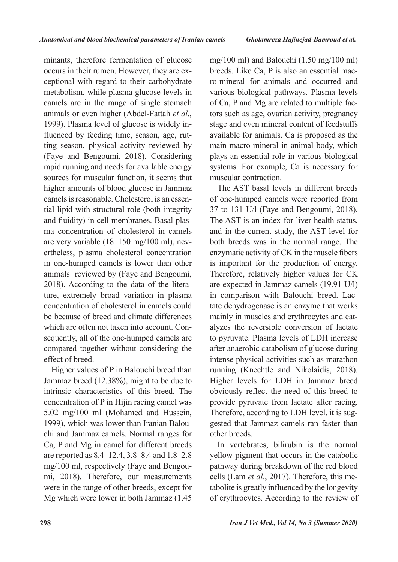minants, therefore fermentation of glucose ceptional with regard to their carbohydrate occurs in their rumen. However, they are exmetabolism, while plasma glucose levels in camels are in the range of single stomach animals or even higher (Abdel-Fattah et al., ting season, physical activity reviewed by fluenced by feeding time, season, age, rut-1999). Plasma level of glucose is widely in-(Faye and Bengoumi, 2018). Considering rapid running and needs for available energy sources for muscular function, it seems that higher amounts of blood glucose in Jammaz tial lipid with structural role (both integrity camels is reasonable. Cholesterol is an essenma concentration of cholesterol in camels and fluidity) in cell membranes. Basal plasertheless, plasma cholesterol concentration are very variable  $(18-150 \text{ mg}/100 \text{ ml})$ , nevin one-humped camels is lower than other animals reviewed by (Faye and Bengoumi, ture, extremely broad variation in plasma 2018). According to the data of the literaconcentration of cholesterol in camels could be because of breed and climate differences sequently, all of the one-humped camels are which are often not taken into account. Concompared together without considering the effect of breed.

Higher values of P in Balouchi breed than Jammaz breed (12.38%), might to be due to intrinsic characteristics of this breed. The concentration of P in Hijin racing camel was  $5.02 \text{ mg}/100 \text{ ml}$  (Mohamed and Hussein, chi and Jammaz camels. Normal ranges for 1999), which was lower than Iranian Balou-Ca, P and Mg in camel for different breeds are reported as 8.4–12.4, 3.8–8.4 and 1.8–2.8 mi, 2018). Therefore, our measurements  $mg/100$  ml, respectively (Faye and Bengouwere in the range of other breeds, except for Mg which were lower in both Jammaz  $(1.45)$ 

mg/100 ml) and Balouchi  $(1.50 \text{ mg}/100 \text{ ml})$ ro-mineral for animals and occurred and breeds. Like Ca. P is also an essential macvarious biological pathways. Plasma levels tors such as age, ovarian activity, pregnancy of Ca, P and Mg are related to multiple facstage and even mineral content of feedstuffs available for animals. Ca is proposed as the main macro-mineral in animal body, which plays an essential role in various biological systems. For example, Ca is necessary for muscular contraction.

The AST basal levels in different breeds of one-humped camels were reported from 37 to 131 U/l (Faye and Bengoumi, 2018). The AST is an index for liver health status, and in the current study, the AST level for both breeds was in the normal range. The enzymatic activity of CK in the muscle fibers is important for the production of energy. Therefore, relatively higher values for CK are expected in Jammaz camels (19.91 U/l) tate dehydrogenase is an enzyme that works in comparison with Balouchi breed. Lacalyzes the reversible conversion of lactate mainly in muscles and erythrocytes and catto pyruvate. Plasma levels of LDH increase after anaerobic catabolism of glucose during intense physical activities such as marathon running (Knechtle and Nikolaidis, 2018). Higher levels for LDH in Jammaz breed obviously reflect the need of this breed to provide pyruvate from lactate after racing. Therefore, according to LDH level, it is suggested that Jammaz camels ran faster than other breeds.

In vertebrates, bilirubin is the normal yellow pigment that occurs in the catabolic pathway during breakdown of the red blood tabolite is greatly influenced by the longevity cells (Lam *et al.*, 2017). Therefore, this meof erythrocytes. According to the review of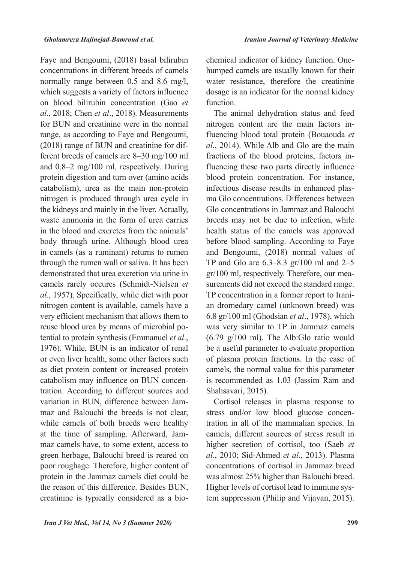Faye and Bengoumi, (2018) basal bilirubin concentrations in different breeds of camels normally range between  $0.5$  and  $8.6$  mg/l, which suggests a variety of factors influence on blood bilirubin concentration (Gao et al., 2018; Chen et al., 2018). Measurements for BUN and creatinine were in the normal range, as according to Faye and Bengoumi, ferent breeds of camels are  $8-30$  mg/100 ml  $(2018)$  range of BUN and creatinine for difand  $0.8-2$  mg/100 ml, respectively. During protein digestion and turn over (amino acids catabolism), urea as the main non-protein nitrogen is produced through urea cycle in the kidneys and mainly in the liver. Actually, waste ammonia in the form of urea carries in the blood and excretes from the animals' body through urine. Although blood urea in camels (as a ruminant) returns to rumen through the rumen wall or saliva. It has been demonstrated that urea excretion via urine in camels rarely occures (Schmidt-Nielsen et al., 1957). Specifically, while diet with poor nitrogen content is available, camels have a very efficient mechanism that allows them to tential to protein synthesis (Emmanuel et al., reuse blood urea by means of microbial po-1976). While, BUN is an indicator of renal or even liver health, some other factors such as diet protein content or increased protein tration. According to different sources and catabolism may influence on BUN concenmaz and Balouchi the breeds is not clear, variation in BUN, difference between Jamwhile camels of both breeds were healthy maz camels have, to some extent, access to at the time of sampling. Afterward, Jamgreen herbage, Balouchi breed is reared on poor roughage. Therefore, higher content of protein in the Jammaz camels diet could be the reason of this difference. Besides BUN, creatinine is typically considered as a biohumped camels are usually known for their chemical indicator of kidney function. Onewater resistance, therefore the creatinine dosage is an indicator for the normal kidney function.

The animal dehydration status and feed fluencing blood total protein (Bouaouda et nitrogen content are the main factors inal., 2014). While Alb and Glo are the main fluencing these two parts directly influence fractions of the blood proteins, factors inblood protein concentration. For instance, ma Glo concentrations. Differences between infectious disease results in enhanced plas-Glo concentrations in Jammaz and Balouchi breeds may not be due to infection, while health status of the camels was approved before blood sampling. According to Faye and Bengoumi, (2018) normal values of TP and Glo are  $6.3-8.3$  gr/100 ml and  $2-5$ surements did not exceed the standard range.  $gr/100$  ml, respectively. Therefore, our meaan dromedary camel (unknown breed) was TP concentration in a former report to Irani-6.8 gr/100 ml (Ghodsian et al., 1978), which was very similar to TP in Jammaz camels  $(6.79 \text{ g}/100 \text{ ml})$ . The Alb:Glo ratio would be a useful parameter to evaluate proportion of plasma protein fractions. In the case of camels, the normal value for this parameter is recommended as 1.03 (Jassim Ram and Shahsavari, 2015).

Cortisol releases in plasma response to tration in all of the mammalian species. In stress and/or low blood glucose concencamels, different sources of stress result in higher secretion of cortisol, too (Saeb et al., 2010; Sid-Ahmed et al., 2013). Plasma concentrations of cortisol in Jammaz breed was almost 25% higher than Balouchi breed. tem suppression (Philip and Vijayan, 2015). Higher levels of cortisol lead to immune sys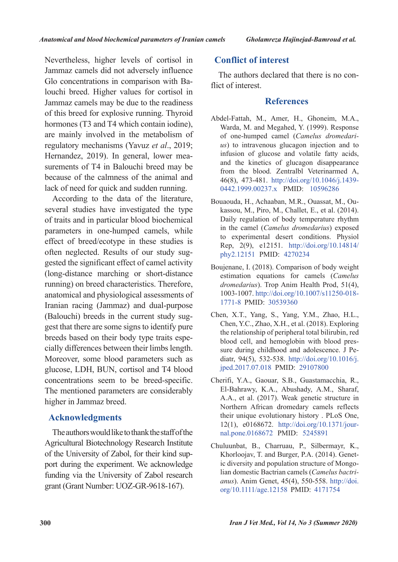Nevertheless, higher levels of cortisol in Jammaz camels did not adversely influence louchi breed. Higher values for cortisol in Glo concentrations in comparison with Ba-Jammaz camels may be due to the readiness of this breed for explosive running. Thyroid hormones (T3 and T4 which contain iodine), are mainly involved in the metabolism of regulatory mechanisms (Yavuz et al., 2019; surements of T4 in Balouchi breed may be Hernandez, 2019). In general, lower meabecause of the calmness of the animal and lack of need for quick and sudden running.

According to the data of the literature, several studies have investigated the type of traits and in particular blood biochemical parameters in one-humped camels, while effect of breed/ecotype in these studies is gested the significant effect of camel activity often neglected. Results of our study sug-(long-distance marching or short-distance) running) on breed characteristics. Therefore, anatomical and physiological assessments of Iranian racing (Jammaz) and dual-purpose gest that there are some signs to identify pure (Balouchi) breeds in the current study sugcially differences between their limbs length. breeds based on their body type traits espe-Moreover, some blood parameters such as glucose, LDH, BUN, cortisol and T4 blood concentrations seem to be breed-specific. The mentioned parameters are considerably higher in Jammaz breed.

### **Acknowledgments**

The authors would like to thank the staff of the Agricultural Biotechnology Research Institute port during the experiment. We acknowledge of the University of Zabol, for their kind supfunding via the University of Zabol research grant (Grant Number: UOZ-GR-9618-167).

### **Conflict of interest**

The authors declared that there is no con-<br>flict of interest.

### **References**

- Abdel-Fattah, M., Amer, H., Ghoneim, M.A., Warda, M. and Megahed, Y. (1999). Response us) to intravenous glucagon injection and to of one-humped camel (Camelus dromedariinfusion of glucose and volatile fatty acids, and the kinetics of glucagon disappearance from the blood. Zentralbl Veterinarmed A, 46(8), 473-481. http://doi.org/10.1046/j.1439-0442.1999.00237.x PMID: 10596286
- kassou, M., Piro, M., Challet, E., et al. (2014). Bouaouda, H., Achaaban, M.R., Ouassat, M., Ou-Daily regulation of body temperature rhythm in the camel (*Camelus dromedarius*) exposed to experimental desert conditions. Physiol Rep. 2(9), e12151. http://doi.org/10.14814/ phy2.12151 PMID: 4270234
- Boujenane, I. (2018). Comparison of body weight estimation equations for camels (Camelus dromedarius). Trop Anim Health Prod, 51(4), 1003-1007. http://doi.org/10.1007/s11250-018-1771-8 PMID: 30539360
- Chen, X.T., Yang, S., Yang, Y.M., Zhao, H.L., Chen, Y.C., Zhao, X.H., et al. (2018). Exploring the relationship of peripheral total bilirubin, red diatr, 94(5), 532-538. http://doi.org/10.1016/j. sure during childhood and adolescence. J Peblood cell, and hemoglobin with blood presjped.2017.07.018 PMID: 29107800
- Cherifi, Y.A., Gaouar, S.B., Guastamacchia, R., El-Bahrawy, K.A., Abushady, A.M., Sharaf, A.A., et al. (2017). Weak genetic structure in Northern African dromedary camels reflects their unique evolutionary history . PLoS One, 12(1), e0168672. http://doi.org/10.1371/jour-<br>nal.pone.0168672 PMID: 5245891
- Chuluunbat, B., Charruau, P., Silbermayr, K., *anus*). Anim Genet, 45(4), 550-558. http://doi. lian domestic Bactrian camels (Camelus bactriic diversity and population structure of Mongo-Khorloojav, T. and Burger, P.A. (2014). Genetorg/10.1111/age.12158 PMID: 4171754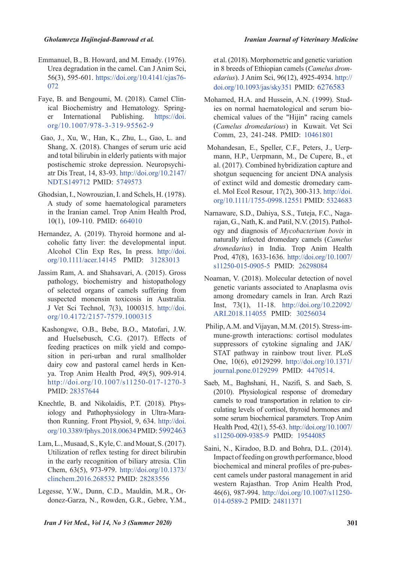- Emmanuel, B., B. Howard, and M. Emady. (1976). Urea degradation in the camel. Can J Anim Sci, 56(3), 595-601. https://doi.org/10.4141/cjas76-072
- ical Biochemistry and Hematology. Spring-<br>er International Publishing. https://doi. ve, B. and Bengoumi, M. (2018). Camel Clinical-Biochemistry and Hematology. Spring-Faye, B. and Bengoumi, M. (2018). Camel Clinorg/10.1007/978-3-319-95562-9
- Gao, J., Xu, W., Han, K., Zhu, L., Gao, L. and Shang, X. (2018). Changes of serum uric acid and total bilirubin in elderly patients with major atr Dis Treat, 14, 83-93. http://doi.org/10.2147/ postischemic stroke depression. Neuropsychi-NDT.S149712 PMID: 5749573
- Ghodsian, I., Nowrouzian, I. and Schels, H. (1978). A study of some haematological parameters in the Iranian camel. Trop Anim Health Prod,  $10(1)$ , 109-110. PMID: 664010
- coholic fatty liver: the developmental input. Hernandez, A. (2019). Thyroid hormone and al-Alcohol Clin Exp Res, In press. http://doi. org/10.1111/acer.14145 PMID: 31283013
- Jassim Ram, A. and Shahsavari, A. (2015). Gross pathology, biochemistry and histopathology of selected organs of camels suffering from suspected monensin toxicosis in Australia. J Vet Sci Technol, 7(3), 1000315. http://doi. org/10.4172/2157-7579.1000315
- Kashongwe, O.B., Bebe, B.O., Matofari, J.W. and Huelsebusch, C.G. (2017). Effects of sition in peri-urban and rural smallholder feeding practices on milk yield and compoya. Trop Anim Health Prod, 49(5), 909-914. dairy cow and pastoral camel herds in Ken $http://doi.org/10.1007/s11250-017-1270-3$ PMID: 28357644
- thon Running. Front Physiol, 9, 634.  $\frac{http://doi.5934}{http://doi.5934}$ iology and Pathophysiology in Ultra-Mara-Knechtle, B. and Nikolaidis, P.T. (2018). Physorg/10.3389/fphys.2018.00634 PMID: 5992463
- Lam, L., Musaad, S., Kyle, C. and Mouat, S.  $(2017)$ . Utilization of reflex testing for direct bilirubin in the early recognition of biliary atresia. Clin Chem, 63(5), 973-979. http://doi.org/10.1373/ clinchem.2016.268532 PMID: 28283556
- donez-Garza, N., Rowden, G.R., Gebre, Y.M., Legesse, Y.W., Dunn, C.D., Mauldin, M.R., Or-

et al. (2018). Morphometric and genetic variation edarius). J Anim Sci, 96(12), 4925-4934. http:// in 8 breeds of Ethiopian camels (Camelus dromdoi.org/10.1093/jas/sky351 PMID: 6276583

- chemical values of the "Hijin" racing camels ies on normal haematological and serum bio-Mohamed, H.A. and Hussein, A.N. (1999). Stud-(Camelus dromedarious) in Kuwait. Vet Sci Comm, 23, 241-248. PMID: 10461801
- Mohandesan, E., Speller, C.F., Peters, J., Uerpmann, H.P., Uerpmann, M., De Cupere, B., et al. (2017). Combined hybridization capture and shotgun sequencing for ancient DNA analysis el. Mol Ecol Resour, 17(2), 300-313. http://doi. of extinct wild and domestic dromedary camorg/10.1111/1755-0998.12551 PMID: 5324683
- ogy and diagnosis of *Mycobacterium* bovis in rajan, G., Nath, K. and Patil, N.V. (2015). Pathol-Narnaware, S.D., Dahiya, S.S., Tuteja, F.C., Naganaturally infected dromedary camels (Camelus dromedarius) in India. Trop Anim Health Prod, 47(8), 1633-1636. http://doi.org/10.1007/ s11250-015-0905-5 PMID: 26298084
- Noaman, V. (2018). Molecular detection of novel genetic variants associated to Anaplasma ovis among dromedary camels in Iran. Arch Razi  $[$ nst, 73(1), 11-18. http://doi.org/10.22092/ ARI.2018.114055 PMID: 30256034
- mune-growth interactions: cortisol modulates Philip, A.M. and Vijayan, M.M. (2015). Stress-imsuppressors of cytokine signaling and JAK/ STAT pathway in rainbow trout liver. PLoS One, 10(6), e0129299. http://doi.org/10.1371/ journal.pone.0129299 PMID: 4470514.
- Saeb, M., Baghshani, H., Nazifi, S. and Saeb, S.  $(2010)$ . Physiological response of dromedary culating levels of cortisol, thyroid hormones and camels to road transportation in relation to cirsome serum biochemical parameters. Trop Anim Health Prod, 42(1), 55-63. http://doi.org/10.1007/ s11250-009-9385-9 PMID: 19544085
- Saini, N., Kiradoo, B.D. and Bohra, D.L. (2014). Impact of feeding on growth performance, blood cent camels under pastoral management in arid biochemical and mineral profiles of pre-pubeswestern Rajasthan. Trop Anim Health Prod, 46(6), 987-994. http://doi.org/10.1007/s11250-014-0589-2 PMID: 24811371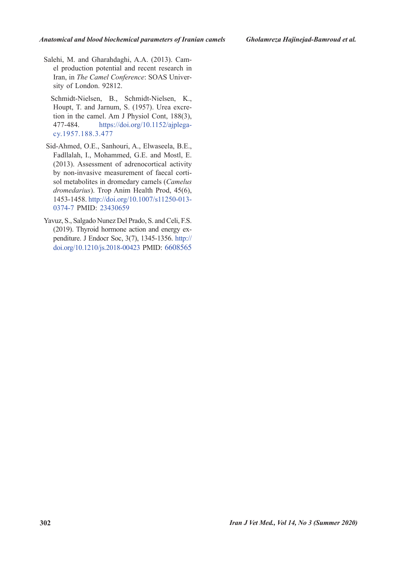el production potential and recent research in Salehi, M. and Gharahdaghi, A.A. (2013). Cam-Iran, in *The Camel Conference*: SOAS University of London. 92812.

Schmidt-Nielsen, B., Schmidt-Nielsen, K., tion in the camel. Am J Physiol Cont,  $188(3)$ , Houpt, T. and Jarnum, S. (1957). Urea excre-477-484. https://doi.org/10.1152/ajplega-<br>cy.1957.188.3.477

- Sid-Ahmed, O.E., Sanhouri, A., Elwaseela, B.E., Fadllalah, I., Mohammed, G.E. and Mostl, E.  $(2013)$ . Assessment of adrenocortical activity by non-invasive measurement of faecal corti-<br>sol metabolites in dromedary camels (*Camelus* dromedarius). Trop Anim Health Prod, 45(6), 1453-1458. http://doi.org/10.1007/s11250-013-0374-7 PMID: 23430659
- Yavuz, S., Salgado Nunez Del Prado, S. and Celi, F.S. penditure. J Endocr Soc, 3(7), 1345-1356. http:// (2019). Thyroid hormone action and energy  $ex$ doi.org/10.1210/js.2018-00423 PMID: 6608565